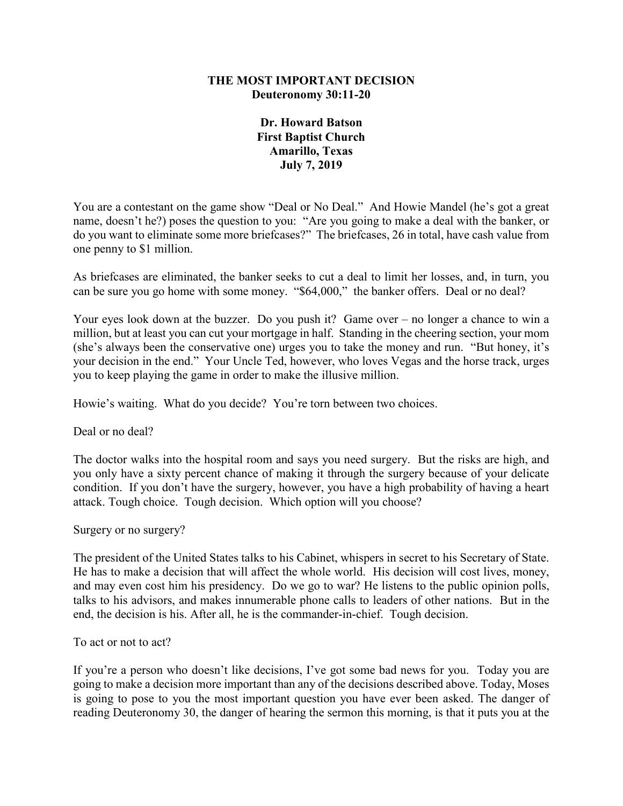## **THE MOST IMPORTANT DECISION Deuteronomy 30:11-20**

**Dr. Howard Batson First Baptist Church Amarillo, Texas July 7, 2019**

You are a contestant on the game show "Deal or No Deal." And Howie Mandel (he's got a great name, doesn't he?) poses the question to you: "Are you going to make a deal with the banker, or do you want to eliminate some more briefcases?" The briefcases, 26 in total, have cash value from one penny to \$1 million.

As briefcases are eliminated, the banker seeks to cut a deal to limit her losses, and, in turn, you can be sure you go home with some money. "\$64,000," the banker offers. Deal or no deal?

Your eyes look down at the buzzer. Do you push it? Game over – no longer a chance to win a million, but at least you can cut your mortgage in half. Standing in the cheering section, your mom (she's always been the conservative one) urges you to take the money and run. "But honey, it's your decision in the end." Your Uncle Ted, however, who loves Vegas and the horse track, urges you to keep playing the game in order to make the illusive million.

Howie's waiting. What do you decide? You're torn between two choices.

Deal or no deal?

The doctor walks into the hospital room and says you need surgery. But the risks are high, and you only have a sixty percent chance of making it through the surgery because of your delicate condition. If you don't have the surgery, however, you have a high probability of having a heart attack. Tough choice. Tough decision. Which option will you choose?

Surgery or no surgery?

The president of the United States talks to his Cabinet, whispers in secret to his Secretary of State. He has to make a decision that will affect the whole world. His decision will cost lives, money, and may even cost him his presidency. Do we go to war? He listens to the public opinion polls, talks to his advisors, and makes innumerable phone calls to leaders of other nations. But in the end, the decision is his. After all, he is the commander-in-chief. Tough decision.

To act or not to act?

If you're a person who doesn't like decisions, I've got some bad news for you. Today you are going to make a decision more important than any of the decisions described above. Today, Moses is going to pose to you the most important question you have ever been asked. The danger of reading Deuteronomy 30, the danger of hearing the sermon this morning, is that it puts you at the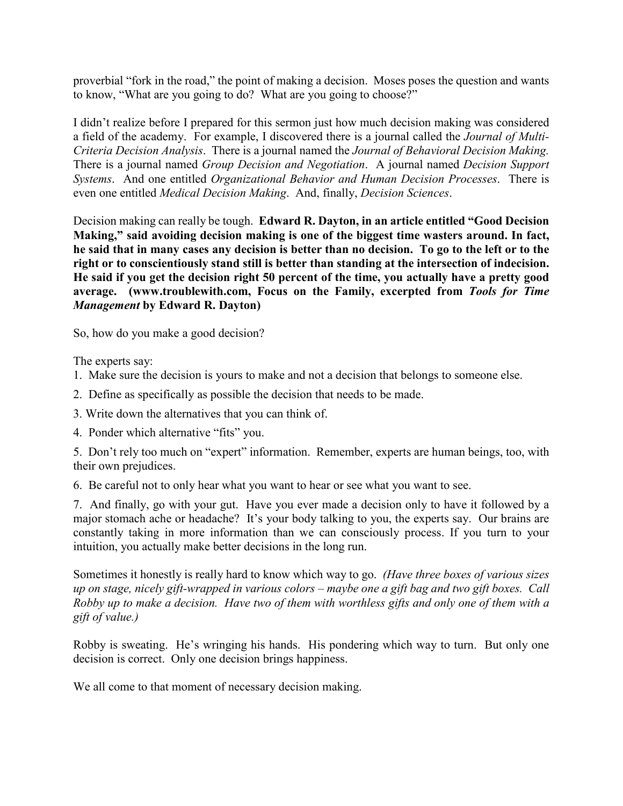proverbial "fork in the road," the point of making a decision. Moses poses the question and wants to know, "What are you going to do? What are you going to choose?"

I didn't realize before I prepared for this sermon just how much decision making was considered a field of the academy. For example, I discovered there is a journal called the *Journal of Multi-Criteria Decision Analysis*. There is a journal named the *Journal of Behavioral Decision Making.* There is a journal named *Group Decision and Negotiation*. A journal named *Decision Support Systems*. And one entitled *Organizational Behavior and Human Decision Processes*. There is even one entitled *Medical Decision Making*. And, finally, *Decision Sciences*.

Decision making can really be tough. **Edward R. Dayton, in an article entitled "Good Decision Making," said avoiding decision making is one of the biggest time wasters around. In fact, he said that in many cases any decision is better than no decision. To go to the left or to the right or to conscientiously stand still is better than standing at the intersection of indecision. He said if you get the decision right 50 percent of the time, you actually have a pretty good average. (www.troublewith.com, Focus on the Family, excerpted from** *Tools for Time Management* **by Edward R. Dayton)**

So, how do you make a good decision?

The experts say:

- 1. Make sure the decision is yours to make and not a decision that belongs to someone else.
- 2. Define as specifically as possible the decision that needs to be made.
- 3. Write down the alternatives that you can think of.
- 4. Ponder which alternative "fits" you.

5. Don't rely too much on "expert" information. Remember, experts are human beings, too, with their own prejudices.

6. Be careful not to only hear what you want to hear or see what you want to see.

7. And finally, go with your gut. Have you ever made a decision only to have it followed by a major stomach ache or headache? It's your body talking to you, the experts say. Our brains are constantly taking in more information than we can consciously process. If you turn to your intuition, you actually make better decisions in the long run.

Sometimes it honestly is really hard to know which way to go. *(Have three boxes of various sizes up on stage, nicely gift-wrapped in various colors – maybe one a gift bag and two gift boxes. Call Robby up to make a decision. Have two of them with worthless gifts and only one of them with a gift of value.)*

Robby is sweating. He's wringing his hands. His pondering which way to turn. But only one decision is correct. Only one decision brings happiness.

We all come to that moment of necessary decision making.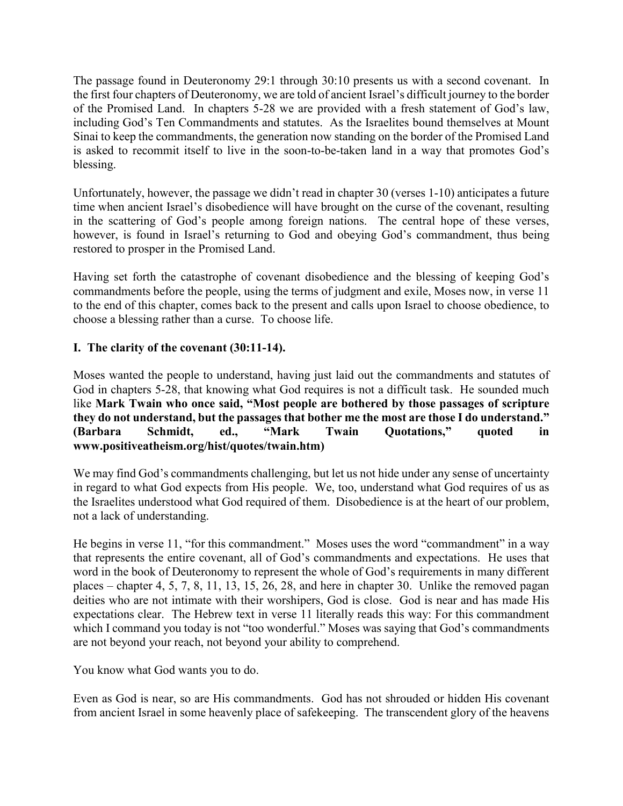The passage found in Deuteronomy 29:1 through 30:10 presents us with a second covenant. In the first four chapters of Deuteronomy, we are told of ancient Israel's difficult journey to the border of the Promised Land. In chapters 5-28 we are provided with a fresh statement of God's law, including God's Ten Commandments and statutes. As the Israelites bound themselves at Mount Sinai to keep the commandments, the generation now standing on the border of the Promised Land is asked to recommit itself to live in the soon-to-be-taken land in a way that promotes God's blessing.

Unfortunately, however, the passage we didn't read in chapter 30 (verses 1-10) anticipates a future time when ancient Israel's disobedience will have brought on the curse of the covenant, resulting in the scattering of God's people among foreign nations. The central hope of these verses, however, is found in Israel's returning to God and obeying God's commandment, thus being restored to prosper in the Promised Land.

Having set forth the catastrophe of covenant disobedience and the blessing of keeping God's commandments before the people, using the terms of judgment and exile, Moses now, in verse 11 to the end of this chapter, comes back to the present and calls upon Israel to choose obedience, to choose a blessing rather than a curse. To choose life.

## **I. The clarity of the covenant (30:11-14).**

Moses wanted the people to understand, having just laid out the commandments and statutes of God in chapters 5-28, that knowing what God requires is not a difficult task. He sounded much like **Mark Twain who once said, "Most people are bothered by those passages of scripture they do not understand, but the passages that bother me the most are those I do understand." (Barbara Schmidt, ed., "Mark Twain Quotations," quoted in www.positiveatheism.org/hist/quotes/twain.htm)**

We may find God's commandments challenging, but let us not hide under any sense of uncertainty in regard to what God expects from His people. We, too, understand what God requires of us as the Israelites understood what God required of them. Disobedience is at the heart of our problem, not a lack of understanding.

He begins in verse 11, "for this commandment." Moses uses the word "commandment" in a way that represents the entire covenant, all of God's commandments and expectations. He uses that word in the book of Deuteronomy to represent the whole of God's requirements in many different places – chapter 4, 5, 7, 8, 11, 13, 15, 26, 28, and here in chapter 30. Unlike the removed pagan deities who are not intimate with their worshipers, God is close. God is near and has made His expectations clear. The Hebrew text in verse 11 literally reads this way: For this commandment which I command you today is not "too wonderful." Moses was saying that God's commandments are not beyond your reach, not beyond your ability to comprehend.

You know what God wants you to do.

Even as God is near, so are His commandments. God has not shrouded or hidden His covenant from ancient Israel in some heavenly place of safekeeping. The transcendent glory of the heavens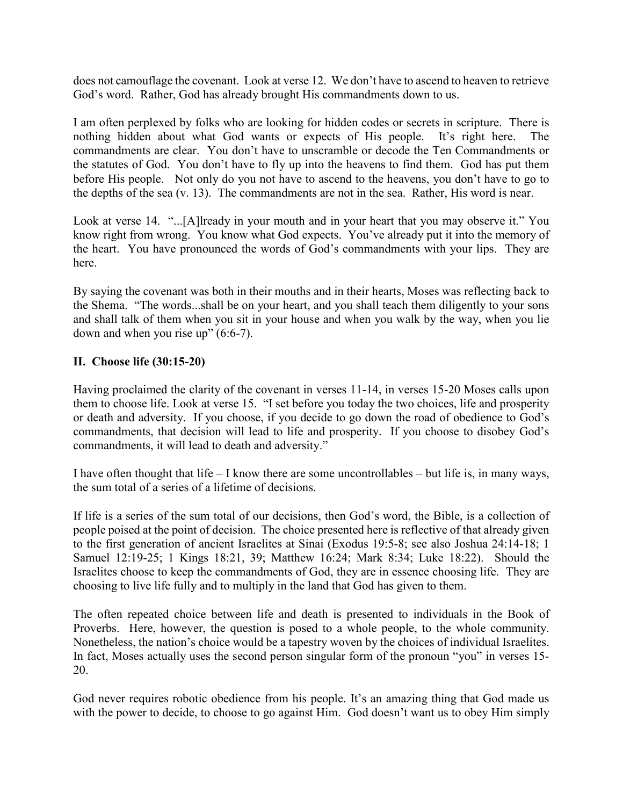does not camouflage the covenant. Look at verse 12. We don't have to ascend to heaven to retrieve God's word. Rather, God has already brought His commandments down to us.

I am often perplexed by folks who are looking for hidden codes or secrets in scripture. There is nothing hidden about what God wants or expects of His people. It's right here. The commandments are clear. You don't have to unscramble or decode the Ten Commandments or the statutes of God. You don't have to fly up into the heavens to find them. God has put them before His people. Not only do you not have to ascend to the heavens, you don't have to go to the depths of the sea (v. 13). The commandments are not in the sea. Rather, His word is near.

Look at verse 14. "...[A]lready in your mouth and in your heart that you may observe it." You know right from wrong. You know what God expects. You've already put it into the memory of the heart. You have pronounced the words of God's commandments with your lips. They are here.

By saying the covenant was both in their mouths and in their hearts, Moses was reflecting back to the Shema. "The words...shall be on your heart, and you shall teach them diligently to your sons and shall talk of them when you sit in your house and when you walk by the way, when you lie down and when you rise up" (6:6-7).

## **II. Choose life (30:15-20)**

Having proclaimed the clarity of the covenant in verses 11-14, in verses 15-20 Moses calls upon them to choose life. Look at verse 15. "I set before you today the two choices, life and prosperity or death and adversity. If you choose, if you decide to go down the road of obedience to God's commandments, that decision will lead to life and prosperity. If you choose to disobey God's commandments, it will lead to death and adversity."

I have often thought that life – I know there are some uncontrollables – but life is, in many ways, the sum total of a series of a lifetime of decisions.

If life is a series of the sum total of our decisions, then God's word, the Bible, is a collection of people poised at the point of decision. The choice presented here is reflective of that already given to the first generation of ancient Israelites at Sinai (Exodus 19:5-8; see also Joshua 24:14-18; 1 Samuel 12:19-25; 1 Kings 18:21, 39; Matthew 16:24; Mark 8:34; Luke 18:22). Should the Israelites choose to keep the commandments of God, they are in essence choosing life. They are choosing to live life fully and to multiply in the land that God has given to them.

The often repeated choice between life and death is presented to individuals in the Book of Proverbs. Here, however, the question is posed to a whole people, to the whole community. Nonetheless, the nation's choice would be a tapestry woven by the choices of individual Israelites. In fact, Moses actually uses the second person singular form of the pronoun "you" in verses 15- 20.

God never requires robotic obedience from his people. It's an amazing thing that God made us with the power to decide, to choose to go against Him. God doesn't want us to obey Him simply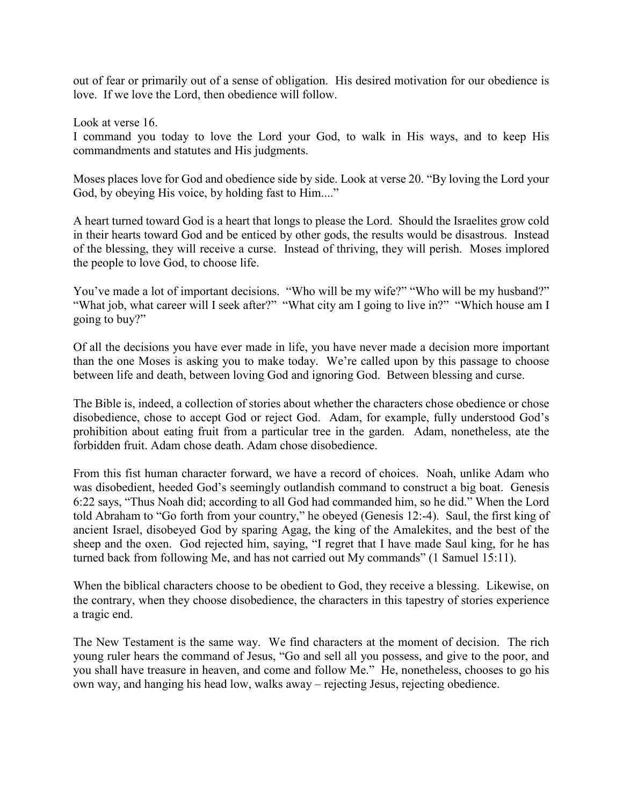out of fear or primarily out of a sense of obligation. His desired motivation for our obedience is love. If we love the Lord, then obedience will follow.

Look at verse 16.

I command you today to love the Lord your God, to walk in His ways, and to keep His commandments and statutes and His judgments.

Moses places love for God and obedience side by side. Look at verse 20. "By loving the Lord your God, by obeying His voice, by holding fast to Him...."

A heart turned toward God is a heart that longs to please the Lord. Should the Israelites grow cold in their hearts toward God and be enticed by other gods, the results would be disastrous. Instead of the blessing, they will receive a curse. Instead of thriving, they will perish. Moses implored the people to love God, to choose life.

You've made a lot of important decisions. "Who will be my wife?" "Who will be my husband?" "What job, what career will I seek after?" "What city am I going to live in?" "Which house am I going to buy?"

Of all the decisions you have ever made in life, you have never made a decision more important than the one Moses is asking you to make today. We're called upon by this passage to choose between life and death, between loving God and ignoring God. Between blessing and curse.

The Bible is, indeed, a collection of stories about whether the characters chose obedience or chose disobedience, chose to accept God or reject God. Adam, for example, fully understood God's prohibition about eating fruit from a particular tree in the garden. Adam, nonetheless, ate the forbidden fruit. Adam chose death. Adam chose disobedience.

From this fist human character forward, we have a record of choices. Noah, unlike Adam who was disobedient, heeded God's seemingly outlandish command to construct a big boat. Genesis 6:22 says, "Thus Noah did; according to all God had commanded him, so he did." When the Lord told Abraham to "Go forth from your country," he obeyed (Genesis 12:-4). Saul, the first king of ancient Israel, disobeyed God by sparing Agag, the king of the Amalekites, and the best of the sheep and the oxen. God rejected him, saying, "I regret that I have made Saul king, for he has turned back from following Me, and has not carried out My commands" (1 Samuel 15:11).

When the biblical characters choose to be obedient to God, they receive a blessing. Likewise, on the contrary, when they choose disobedience, the characters in this tapestry of stories experience a tragic end.

The New Testament is the same way. We find characters at the moment of decision. The rich young ruler hears the command of Jesus, "Go and sell all you possess, and give to the poor, and you shall have treasure in heaven, and come and follow Me." He, nonetheless, chooses to go his own way, and hanging his head low, walks away – rejecting Jesus, rejecting obedience.